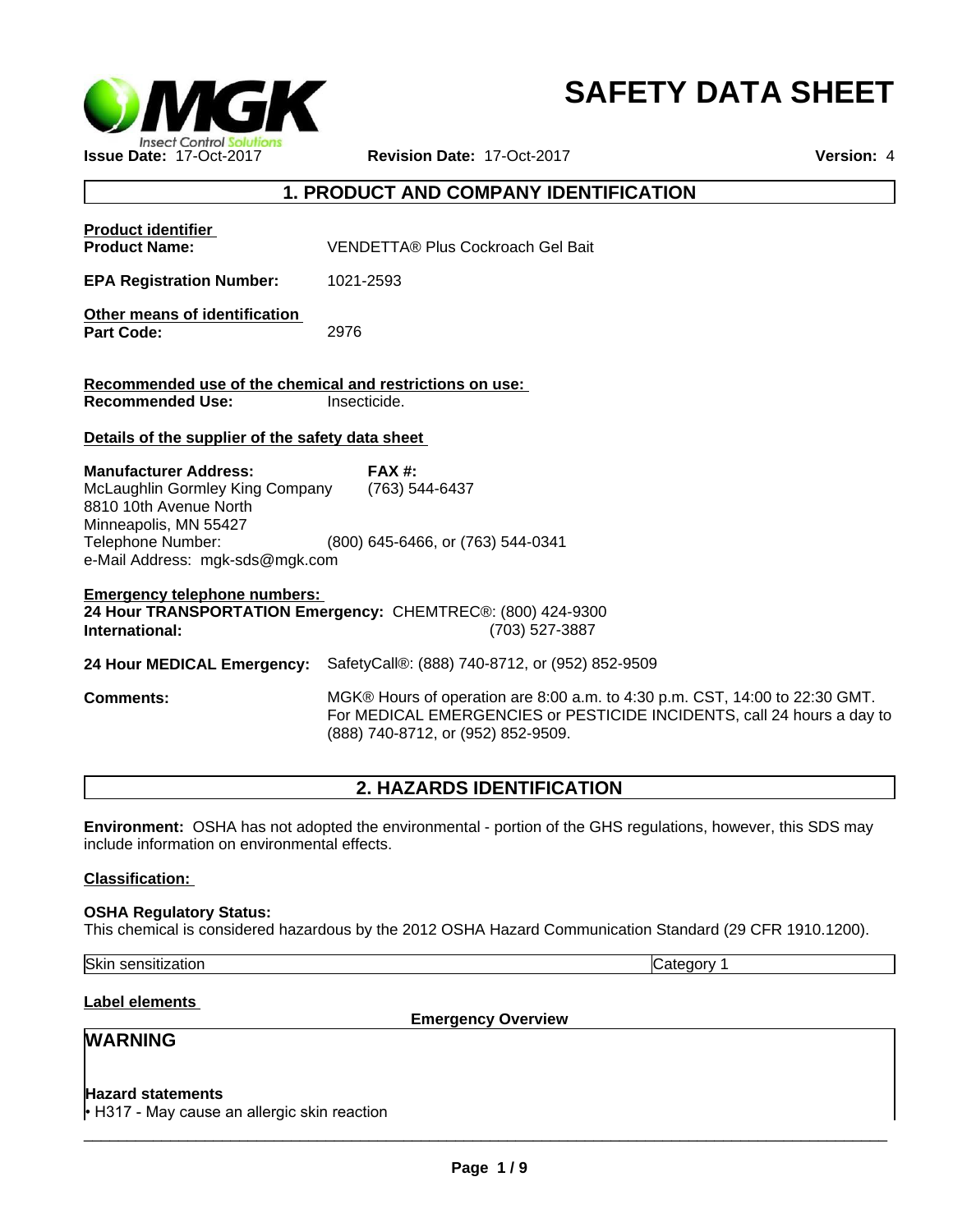

# **SAFETY DATA SHEET**

## **1. PRODUCT AND COMPANY IDENTIFICATION**

| <b>Product identifier</b><br><b>Product Name:</b>                                                                                                                          | VENDETTA® Plus Cockroach Gel Bait                                                                                                                                                           |  |  |
|----------------------------------------------------------------------------------------------------------------------------------------------------------------------------|---------------------------------------------------------------------------------------------------------------------------------------------------------------------------------------------|--|--|
| <b>EPA Registration Number:</b>                                                                                                                                            | 1021-2593                                                                                                                                                                                   |  |  |
| Other means of identification<br><b>Part Code:</b>                                                                                                                         | 2976                                                                                                                                                                                        |  |  |
| Recommended use of the chemical and restrictions on use:<br><b>Recommended Use:</b><br>Insecticide.                                                                        |                                                                                                                                                                                             |  |  |
| Details of the supplier of the safety data sheet                                                                                                                           |                                                                                                                                                                                             |  |  |
| <b>Manufacturer Address:</b><br>McLaughlin Gormley King Company<br>8810 10th Avenue North<br>Minneapolis, MN 55427<br>Telephone Number:<br>e-Mail Address: mgk-sds@mgk.com | <b>FAX #:</b><br>(763) 544-6437<br>(800) 645-6466, or (763) 544-0341                                                                                                                        |  |  |
| <b>Emergency telephone numbers:</b><br>24 Hour TRANSPORTATION Emergency: CHEMTREC®: (800) 424-9300<br>International:<br>(703) 527-3887                                     |                                                                                                                                                                                             |  |  |
| 24 Hour MEDICAL Emergency:                                                                                                                                                 | SafetyCall®: (888) 740-8712, or (952) 852-9509                                                                                                                                              |  |  |
| <b>Comments:</b>                                                                                                                                                           | MGK® Hours of operation are 8:00 a.m. to 4:30 p.m. CST, 14:00 to 22:30 GMT.<br>For MEDICAL EMERGENCIES or PESTICIDE INCIDENTS, call 24 hours a day to<br>(888) 740-8712, or (952) 852-9509. |  |  |
|                                                                                                                                                                            |                                                                                                                                                                                             |  |  |

## **2. HAZARDS IDENTIFICATION**

**Environment:** OSHA has not adopted the environmental - portion of the GHS regulations, however, this SDS may include information on environmental effects.

#### **Classification:**

**OSHA Regulatory Status:** This chemical is considered hazardous by the 2012 OSHA Hazard Communication Standard (29 CFR 1910.1200).

Skin sensitization **Category 1** 

**Label elements** 

**Emergency Overview**

 $\overline{\phantom{a}}$  ,  $\overline{\phantom{a}}$  ,  $\overline{\phantom{a}}$  ,  $\overline{\phantom{a}}$  ,  $\overline{\phantom{a}}$  ,  $\overline{\phantom{a}}$  ,  $\overline{\phantom{a}}$  ,  $\overline{\phantom{a}}$  ,  $\overline{\phantom{a}}$  ,  $\overline{\phantom{a}}$  ,  $\overline{\phantom{a}}$  ,  $\overline{\phantom{a}}$  ,  $\overline{\phantom{a}}$  ,  $\overline{\phantom{a}}$  ,  $\overline{\phantom{a}}$  ,  $\overline{\phantom{a}}$ 

## **WARNING**

#### **Hazard statements**

• H317 - May cause an allergic skin reaction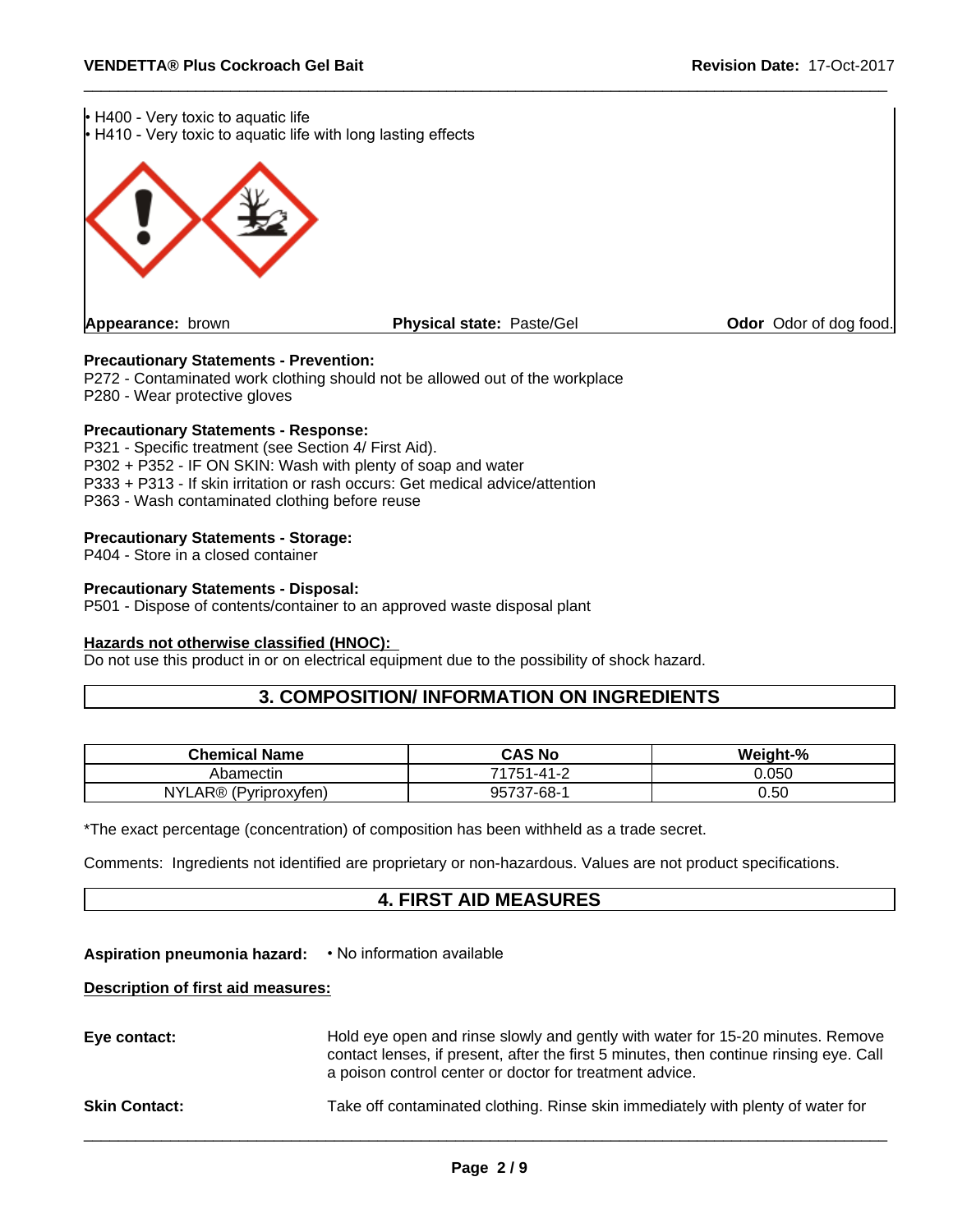

#### **Precautionary Statements - Prevention:**

P272 - Contaminated work clothing should not be allowed out of the workplace P280 - Wear protective gloves

#### **Precautionary Statements - Response:**

P321 - Specific treatment (see Section 4/ First Aid). P302 + P352 - IF ON SKIN: Wash with plenty of soap and water P333 + P313 - If skin irritation or rash occurs: Get medical advice/attention P363 - Wash contaminated clothing before reuse

#### **Precautionary Statements - Storage:**

P404 - Store in a closed container

#### **Precautionary Statements - Disposal:**

P501 - Dispose of contents/container to an approved waste disposal plant

#### **Hazards not otherwise classified (HNOC):**

Do not use this product in or on electrical equipment due to the possibility of shock hazard.

## **3. COMPOSITION/ INFORMATION ON INGREDIENTS**

| <b>Chemical Name</b>                      | <b>CAS No</b>                                            | $-$ %<br>Weight- |
|-------------------------------------------|----------------------------------------------------------|------------------|
| Abamectin                                 | 74754<br>$\sim$                                          | 0.050            |
| R®<br>NY'<br>$\sqrt{2}$<br>'Pyriproxyfen) | $\overline{\phantom{a}}$<br>7-68-<br>:אם<br>، ں ر<br>، ب | 0.50             |

\*The exact percentage (concentration) of composition has been withheld as a trade secret.

Comments: Ingredients not identified are proprietary or non-hazardous. Values are not product specifications.

### **4. FIRST AID MEASURES**

### Aspiration pneumonia hazard: • No information available

#### **Description of first aid measures:**

| Eye contact:         | Hold eye open and rinse slowly and gently with water for 15-20 minutes. Remove<br>contact lenses, if present, after the first 5 minutes, then continue rinsing eye. Call<br>a poison control center or doctor for treatment advice. |
|----------------------|-------------------------------------------------------------------------------------------------------------------------------------------------------------------------------------------------------------------------------------|
| <b>Skin Contact:</b> | Take off contaminated clothing. Rinse skin immediately with plenty of water for                                                                                                                                                     |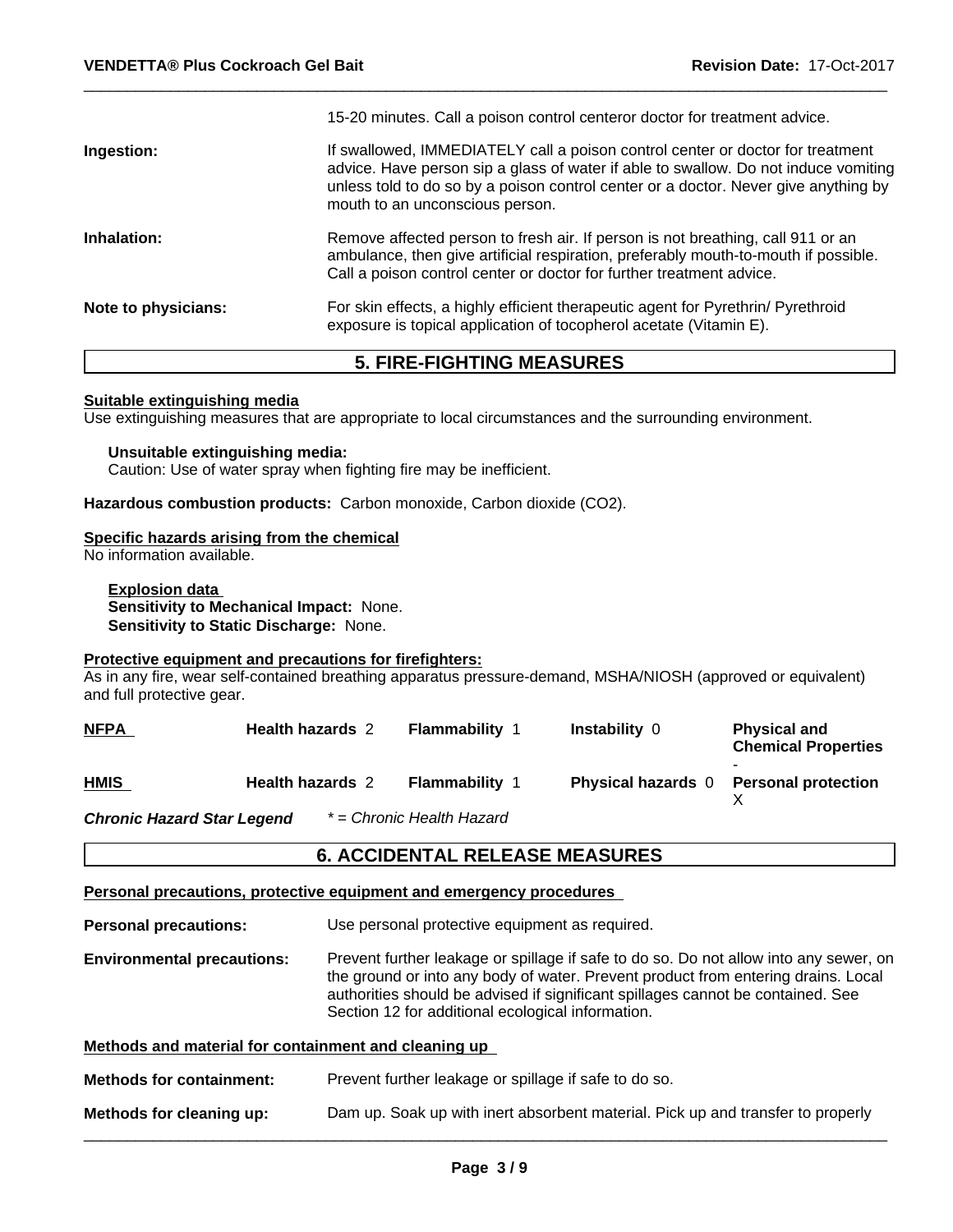|                     | 15-20 minutes. Call a poison control centeror doctor for treatment advice.                                                                                                                                                                                                                      |
|---------------------|-------------------------------------------------------------------------------------------------------------------------------------------------------------------------------------------------------------------------------------------------------------------------------------------------|
| Ingestion:          | If swallowed, IMMEDIATELY call a poison control center or doctor for treatment<br>advice. Have person sip a glass of water if able to swallow. Do not induce vomiting<br>unless told to do so by a poison control center or a doctor. Never give anything by<br>mouth to an unconscious person. |
| Inhalation:         | Remove affected person to fresh air. If person is not breathing, call 911 or an<br>ambulance, then give artificial respiration, preferably mouth-to-mouth if possible.<br>Call a poison control center or doctor for further treatment advice.                                                  |
| Note to physicians: | For skin effects, a highly efficient therapeutic agent for Pyrethrin/ Pyrethroid<br>exposure is topical application of tocopherol acetate (Vitamin E).                                                                                                                                          |
|                     |                                                                                                                                                                                                                                                                                                 |

## **5. FIRE-FIGHTING MEASURES**

#### **Suitable extinguishing media**

Use extinguishing measures that are appropriate to local circumstances and the surrounding environment.

#### **Unsuitable extinguishing media:** Caution: Use of water spray when fighting fire may be inefficient.

**Hazardous combustion products:** Carbon monoxide, Carbon dioxide (CO2).

#### **Specific hazards arising from the chemical**

No information available.

**Explosion data Sensitivity to Mechanical Impact:** None. **Sensitivity to Static Discharge:** None.

#### **Protective equipment and precautions for firefighters:**

As in any fire, wear self-contained breathing apparatus pressure-demand, MSHA/NIOSH (approved or equivalent) and full protective gear.

| <b>NFPA</b>                | <b>Health hazards 2</b> | <b>Flammability 1</b>     | <b>Instability 0</b>      | <b>Physical and</b><br><b>Chemical Properties</b> |
|----------------------------|-------------------------|---------------------------|---------------------------|---------------------------------------------------|
| <b>HMIS</b>                | <b>Health hazards 2</b> | <b>Flammability 1</b>     | <b>Physical hazards</b> 0 | <b>Personal protection</b>                        |
| Chronic Hazard Star Legend |                         | * = Chronic Health Hazard |                           |                                                   |

## **6. ACCIDENTAL RELEASE MEASURES**

#### **Personal precautions, protective equipment and emergency procedures**

**Personal precautions:** Use personal protective equipment as required.

**Environmental precautions:** Prevent further leakage or spillage if safe to do so. Do not allow into any sewer, on the ground or into any body of water. Prevent product from entering drains. Local authorities should be advised if significant spillages cannot be contained. See Section 12 for additional ecological information.

## **Methods and material for containment and cleaning up Methods for containment:** Prevent further leakage or spillage if safe to do so. **Methods for cleaning up:** Dam up. Soak up with inert absorbent material. Pick up and transfer to properly  $\overline{\phantom{a}}$  ,  $\overline{\phantom{a}}$  ,  $\overline{\phantom{a}}$  ,  $\overline{\phantom{a}}$  ,  $\overline{\phantom{a}}$  ,  $\overline{\phantom{a}}$  ,  $\overline{\phantom{a}}$  ,  $\overline{\phantom{a}}$  ,  $\overline{\phantom{a}}$  ,  $\overline{\phantom{a}}$  ,  $\overline{\phantom{a}}$  ,  $\overline{\phantom{a}}$  ,  $\overline{\phantom{a}}$  ,  $\overline{\phantom{a}}$  ,  $\overline{\phantom{a}}$  ,  $\overline{\phantom{a}}$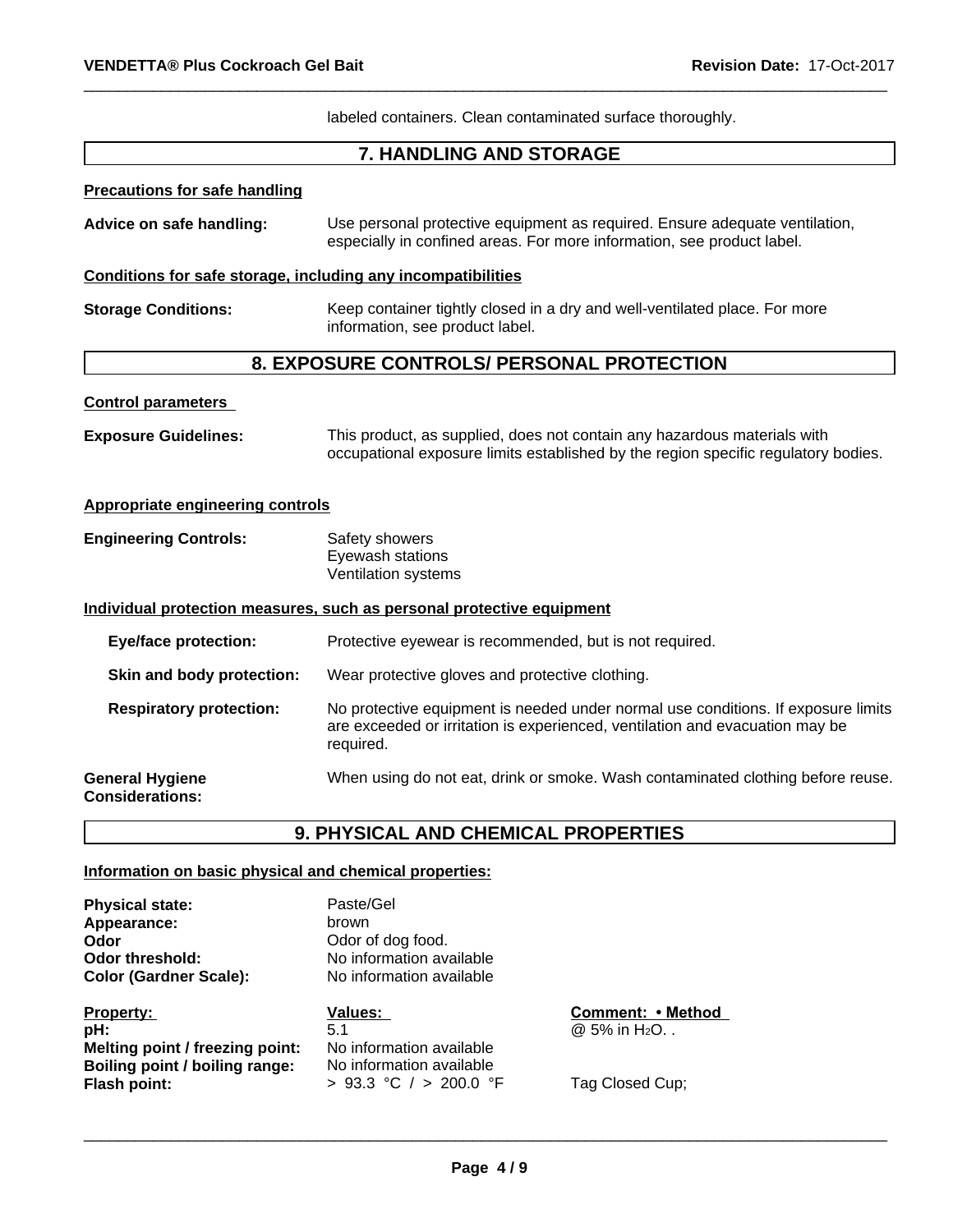labeled containers. Clean contaminated surface thoroughly.

## **7. HANDLING AND STORAGE**

#### **Precautions for safe handling**

| Advice on safe handling: | Use personal protective equipment as required. Ensure adequate ventilation, |
|--------------------------|-----------------------------------------------------------------------------|
|                          | especially in confined areas. For more information, see product label.      |

#### **Conditions for safe storage, including any incompatibilities**

**Storage Conditions:** Keep container tightly closed in a dry and well-ventilated place. For more information, see product label.

## **8. EXPOSURE CONTROLS/ PERSONAL PROTECTION**

#### **Control parameters**

**Exposure Guidelines:** This product, as supplied, does not contain any hazardous materials with occupational exposure limits established by the region specific regulatory bodies.

#### **Appropriate engineering controls**

| <b>Engineering Controls:</b> | Safety showers      |  |
|------------------------------|---------------------|--|
|                              | Eyewash stations    |  |
|                              | Ventilation systems |  |

#### **Individual protection measures, such as personal protective equipment**

| <b>Eye/face protection:</b>                      | Protective eyewear is recommended, but is not required.                                                                                                                        |
|--------------------------------------------------|--------------------------------------------------------------------------------------------------------------------------------------------------------------------------------|
| Skin and body protection:                        | Wear protective gloves and protective clothing.                                                                                                                                |
| <b>Respiratory protection:</b>                   | No protective equipment is needed under normal use conditions. If exposure limits<br>are exceeded or irritation is experienced, ventilation and evacuation may be<br>required. |
| <b>General Hygiene</b><br><b>Considerations:</b> | When using do not eat, drink or smoke. Wash contaminated clothing before reuse.                                                                                                |

## **9. PHYSICAL AND CHEMICAL PROPERTIES**

#### **Information on basic physical and chemical properties:**

**Physical state:** Paste/Gel Appearance: brown **Odor Odor** of dog food.<br> **Odor** threshold: **Codor No** information ave **Color (Gardner Scale):** 

**Property: Comment: Values: Comment: •Method pH:**  $\overline{6.1}$   $\overline{0.5\%}$  in H<sub>2</sub>O. . **Melting point / freezing point:** No information available **Boiling point / boiling range:** No information available **Flash point:**  $\rightarrow$  93.3 °C / > 200.0 °F Tag Closed Cup;

No information available<br>No information available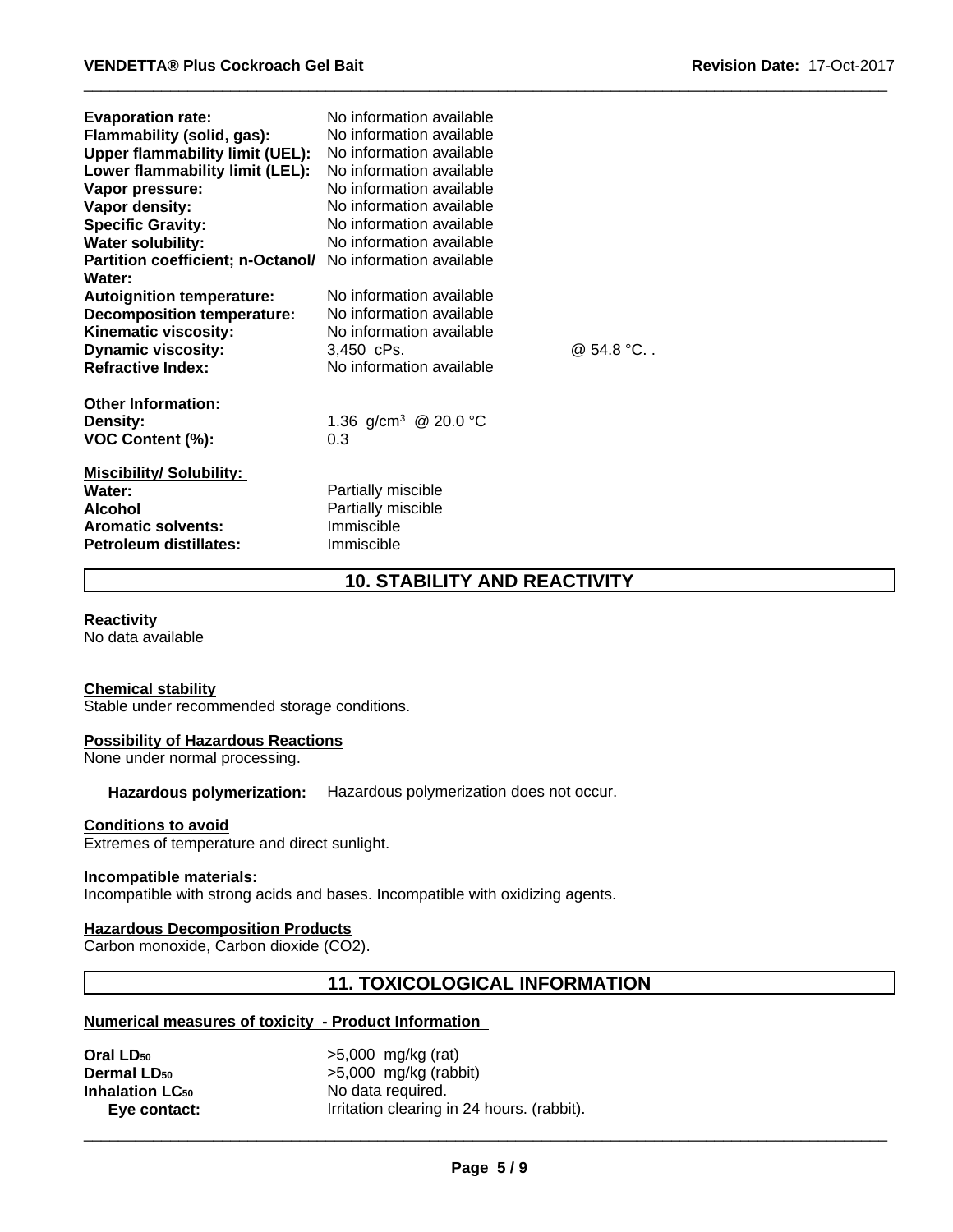| <b>Evaporation rate:</b><br>Flammability (solid, gas):<br>Upper flammability limit (UEL):<br>Lower flammability limit (LEL):<br>Vapor pressure:<br>Vapor density:<br><b>Specific Gravity:</b><br><b>Water solubility:</b><br>Partition coefficient; n-Octanol/<br>Water: | No information available<br>No information available<br>No information available<br>No information available<br>No information available<br>No information available<br>No information available<br>No information available<br>No information available |           |
|--------------------------------------------------------------------------------------------------------------------------------------------------------------------------------------------------------------------------------------------------------------------------|----------------------------------------------------------------------------------------------------------------------------------------------------------------------------------------------------------------------------------------------------------|-----------|
| <b>Autoignition temperature:</b><br><b>Decomposition temperature:</b>                                                                                                                                                                                                    | No information available<br>No information available                                                                                                                                                                                                     |           |
| Kinematic viscosity:<br><b>Dynamic viscosity:</b><br><b>Refractive Index:</b>                                                                                                                                                                                            | No information available<br>3.450 cPs.<br>No information available                                                                                                                                                                                       | @ 54.8 °C |
| <b>Other Information:</b><br><b>Density:</b><br>VOC Content (%):                                                                                                                                                                                                         | 1.36 g/cm <sup>3</sup> @ 20.0 °C<br>0.3                                                                                                                                                                                                                  |           |
| <b>Miscibility/Solubility:</b><br>Water:<br><b>Alcohol</b><br><b>Aromatic solvents:</b><br><b>Petroleum distillates:</b>                                                                                                                                                 | Partially miscible<br>Partially miscible<br>Immiscible<br>Immiscible                                                                                                                                                                                     |           |

## **10. STABILITY AND REACTIVITY**

#### **Reactivity**

No data available

#### **Chemical stability**

Stable under recommended storage conditions.

#### **Possibility of Hazardous Reactions**

None under normal processing.

**Hazardous polymerization:** Hazardous polymerization does not occur.

#### **Conditions to avoid**

Extremes of temperature and direct sunlight.

#### **Incompatible materials:**

Incompatible with strong acids and bases. Incompatible with oxidizing agents.

#### **Hazardous Decomposition Products**

Carbon monoxide, Carbon dioxide (CO2).

## **11. TOXICOLOGICAL INFORMATION**

#### **Numerical measures of toxicity - Product Information**

| Oral LD <sub>50</sub>         | $>5,000$ mg/kg (rat)                       |
|-------------------------------|--------------------------------------------|
| <b>Dermal LD<sub>50</sub></b> | $>5,000$ mg/kg (rabbit)                    |
| <b>Inhalation LC50</b>        | No data required.                          |
| Eye contact:                  | Irritation clearing in 24 hours. (rabbit). |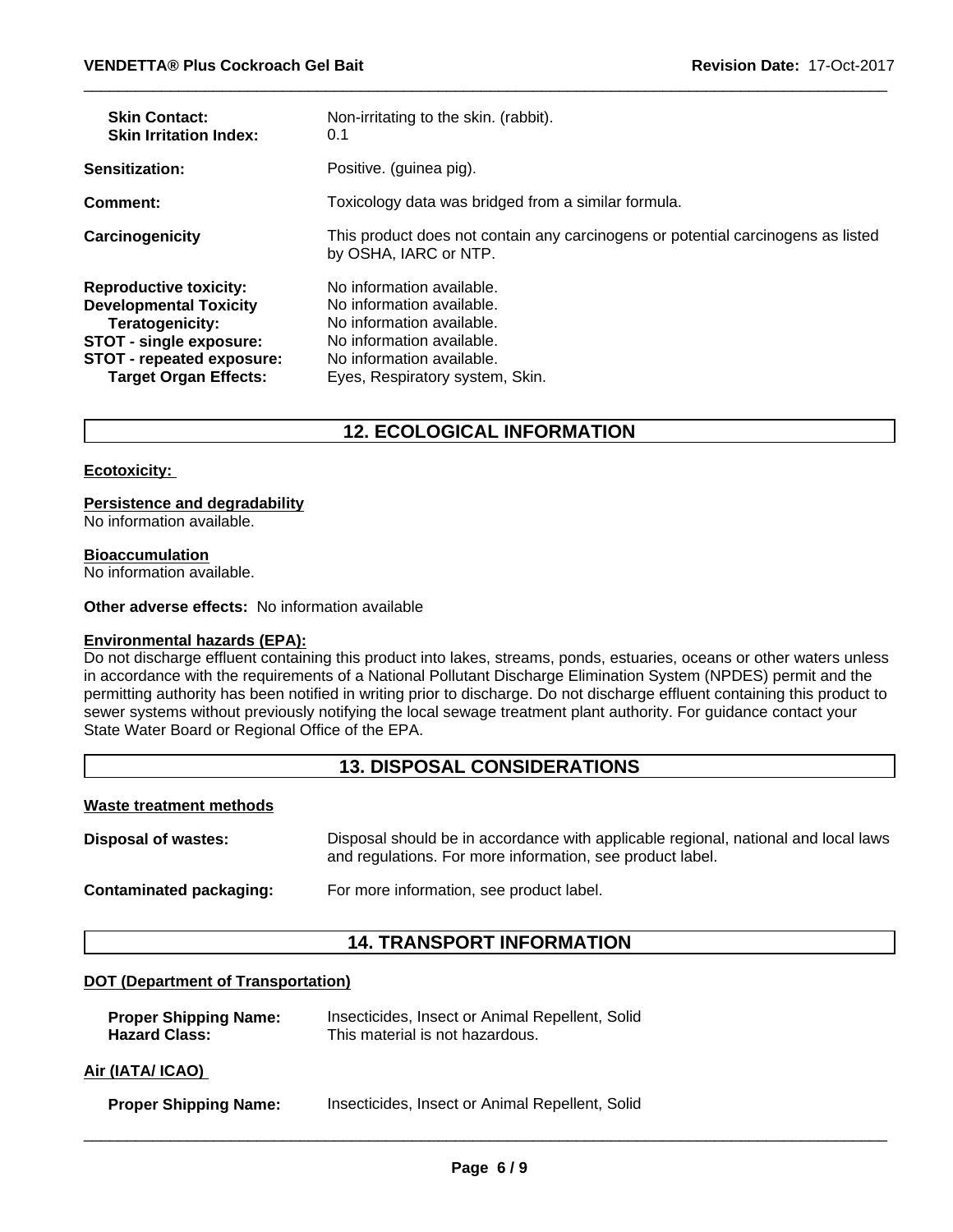| <b>Skin Contact:</b><br><b>Skin Irritation Index:</b>                                                                                                                     | Non-irritating to the skin. (rabbit).<br>0.1                                                                                                                                     |
|---------------------------------------------------------------------------------------------------------------------------------------------------------------------------|----------------------------------------------------------------------------------------------------------------------------------------------------------------------------------|
| Sensitization:                                                                                                                                                            | Positive. (guinea pig).                                                                                                                                                          |
| <b>Comment:</b>                                                                                                                                                           | Toxicology data was bridged from a similar formula.                                                                                                                              |
| Carcinogenicity                                                                                                                                                           | This product does not contain any carcinogens or potential carcinogens as listed<br>by OSHA, IARC or NTP.                                                                        |
| <b>Reproductive toxicity:</b><br><b>Developmental Toxicity</b><br>Teratogenicity:<br>STOT - single exposure:<br>STOT - repeated exposure:<br><b>Target Organ Effects:</b> | No information available.<br>No information available.<br>No information available.<br>No information available.<br>No information available.<br>Eyes, Respiratory system, Skin. |

## **12. ECOLOGICAL INFORMATION**

#### **Ecotoxicity:**

#### **Persistence and degradability**

No information available.

#### **Bioaccumulation**

No information available.

#### **Other adverse effects:** No information available

#### **Environmental hazards (EPA):**

Do not discharge effluent containing this product into lakes, streams, ponds, estuaries, oceans or other waters unless in accordance with the requirements of a National Pollutant Discharge Elimination System (NPDES) permit and the permitting authority has been notified in writing prior to discharge. Do not discharge effluent containing this product to sewer systems without previously notifying the local sewage treatment plant authority. For guidance contact your State Water Board or Regional Office of the EPA.

### **13. DISPOSAL CONSIDERATIONS**

#### **Waste treatment methods**

**Disposal of wastes:** Disposal should be in accordance with applicable regional, national and local laws and regulations. For more information, see product label.

**Contaminated packaging:** For more information, see product label.

## **14. TRANSPORT INFORMATION**

#### **DOT (Department of Transportation)**

| <b>Proper Shipping Name:</b> | Insecticides, Insect or Animal Repellent, Solid |
|------------------------------|-------------------------------------------------|
| <b>Hazard Class:</b>         | This material is not hazardous.                 |
|                              |                                                 |

#### **Air (IATA/ ICAO)**

| <b>Proper Shipping Name:</b> | Insecticides, Insect or Animal Repellent, Solid |  |
|------------------------------|-------------------------------------------------|--|
|------------------------------|-------------------------------------------------|--|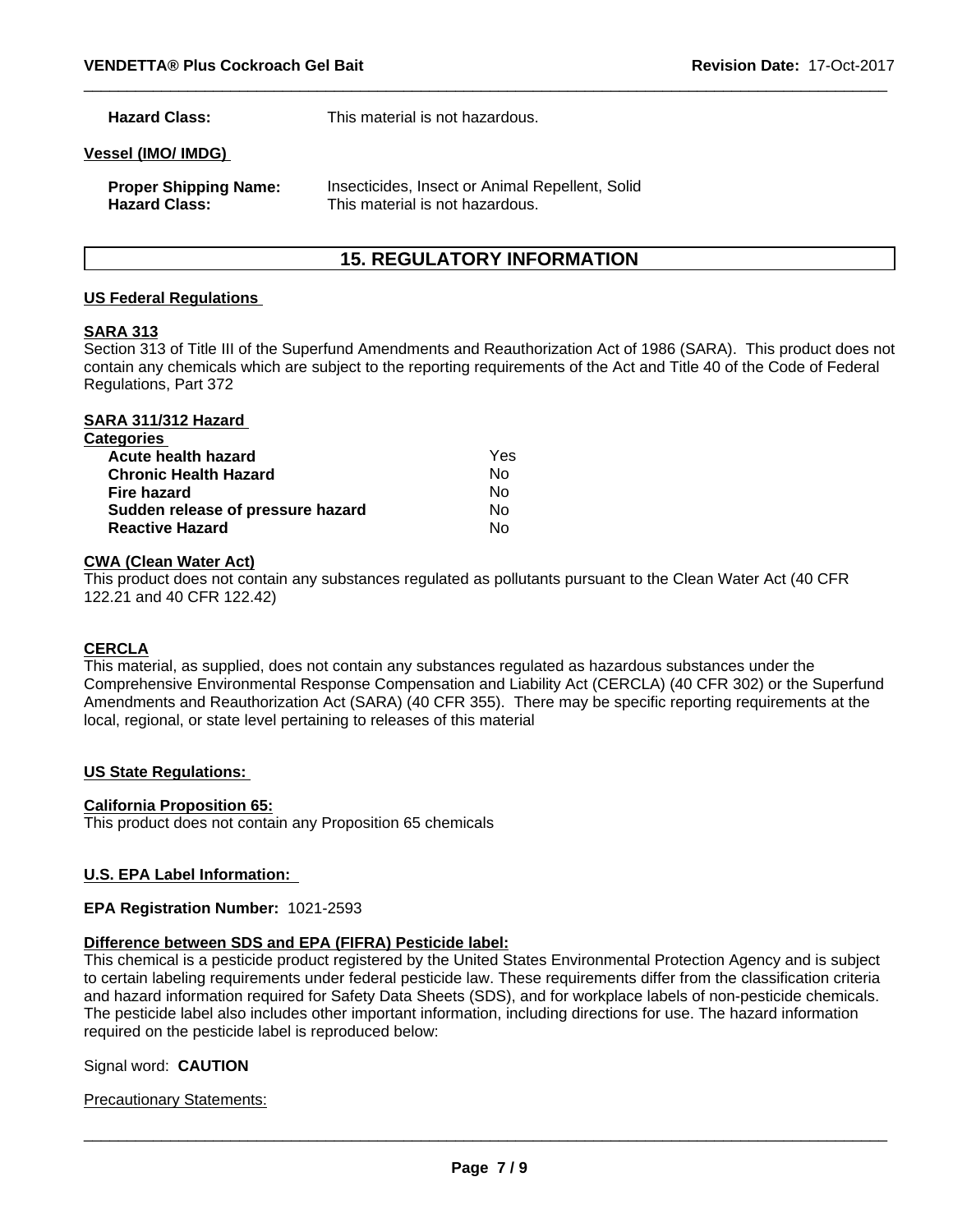**Hazard Class:** This material is not hazardous.

#### **Vessel (IMO/ IMDG)**

| <b>Proper Shipping Name:</b> | Insecticides, Insect or Animal Repellent, Solid |
|------------------------------|-------------------------------------------------|
| <b>Hazard Class:</b>         | This material is not hazardous.                 |

## **15. REGULATORY INFORMATION**

#### **US Federal Regulations**

#### **SARA 313**

Section 313 of Title III of the Superfund Amendments and Reauthorization Act of 1986 (SARA). This product does not contain any chemicals which are subject to the reporting requirements of the Act and Title 40 of the Code of Federal Regulations, Part 372

| SARA 311/312 Hazard               |     |  |
|-----------------------------------|-----|--|
| <b>Categories</b>                 |     |  |
| Acute health hazard               | Yes |  |
| <b>Chronic Health Hazard</b>      | Nο  |  |
| Fire hazard                       | Nο  |  |
| Sudden release of pressure hazard | No  |  |
| <b>Reactive Hazard</b>            | Nο  |  |

#### **CWA (Clean Water Act)**

This product does not contain any substances regulated as pollutants pursuant to the Clean Water Act (40 CFR 122.21 and 40 CFR 122.42)

#### **CERCLA**

This material, as supplied, does not contain any substances regulated as hazardous substances under the Comprehensive Environmental Response Compensation and Liability Act (CERCLA) (40 CFR 302) or the Superfund Amendments and Reauthorization Act (SARA) (40 CFR 355). There may be specific reporting requirements at the local, regional, or state level pertaining to releases of this material

#### **US State Regulations:**

#### **California Proposition 65:**

This product does not contain any Proposition 65 chemicals

#### **U.S. EPA Label Information:**

#### **EPA Registration Number:** 1021-2593

#### **Difference between SDS and EPA (FIFRA) Pesticide label:**

This chemical is a pesticide product registered by the United States Environmental Protection Agency and is subject to certain labeling requirements under federal pesticide law. These requirements differ from the classification criteria and hazard information required for Safety Data Sheets (SDS), and for workplace labels of non-pesticide chemicals. The pesticide label also includes other important information, including directions for use. The hazard information required on the pesticide label is reproduced below:

#### Signal word: **CAUTION**

#### Precautionary Statements: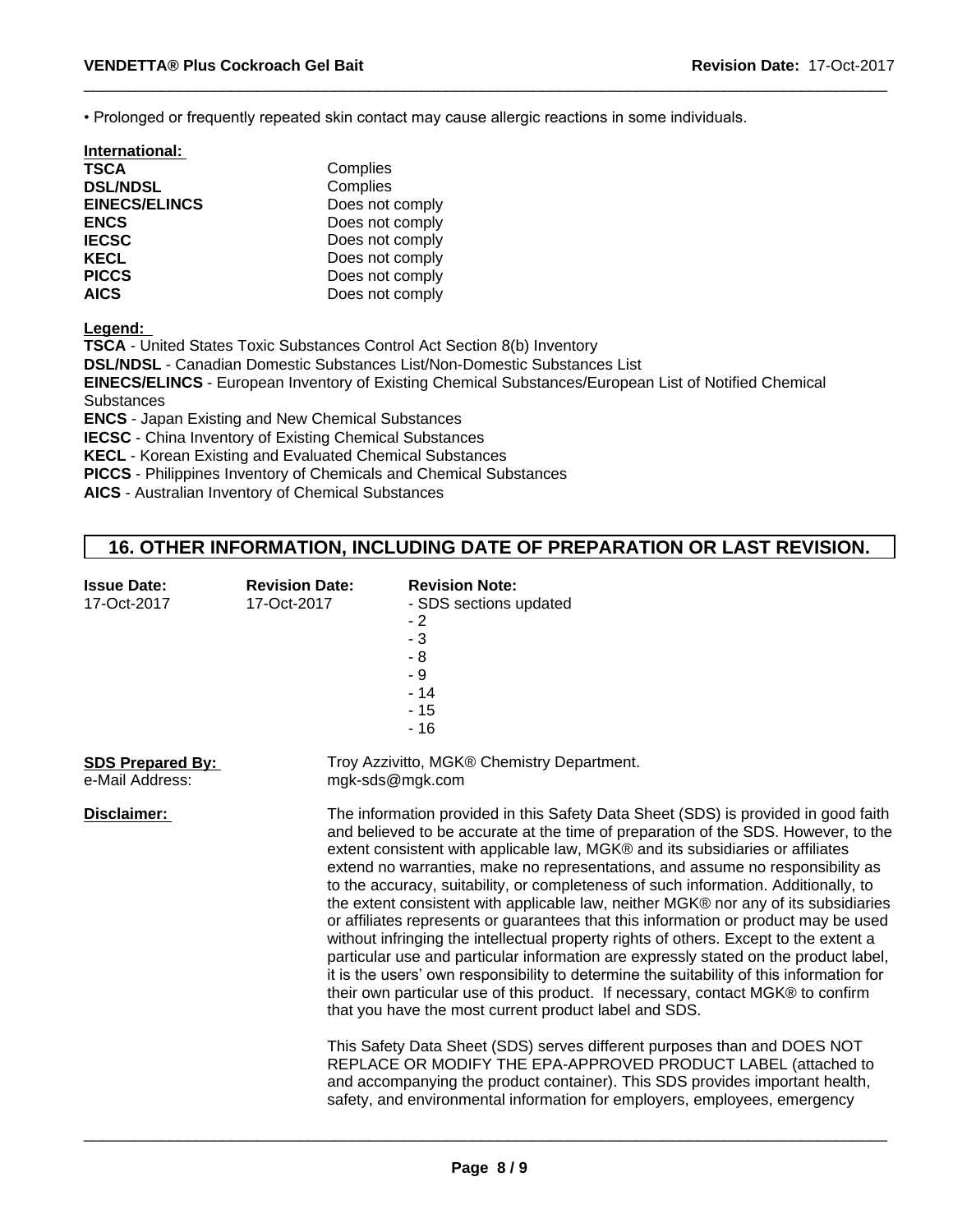• Prolonged or frequently repeated skin contact may cause allergic reactions in some individuals.

| Complies        |  |
|-----------------|--|
| Complies        |  |
| Does not comply |  |
| Does not comply |  |
| Does not comply |  |
| Does not comply |  |
| Does not comply |  |
| Does not comply |  |
|                 |  |

**Legend:** 

**TSCA** - United States Toxic Substances Control Act Section 8(b) Inventory

**DSL/NDSL** - Canadian Domestic Substances List/Non-Domestic Substances List

**EINECS/ELINCS** - European Inventory of Existing Chemical Substances/European List of Notified Chemical **Substances** 

**ENCS** - Japan Existing and New Chemical Substances

**IECSC** - China Inventory of Existing Chemical Substances

**KECL** - Korean Existing and Evaluated Chemical Substances

**PICCS** - Philippines Inventory of Chemicals and Chemical Substances

**AICS** - Australian Inventory of Chemical Substances

## **16. OTHER INFORMATION, INCLUDING DATE OF PREPARATION OR LAST REVISION.**

| <b>Issue Date:</b><br>17-Oct-2017          | <b>Revision Date:</b><br>17-Oct-2017                                                                                                                                                                                                                                                                                                                                                                                                                                                                                                                                                                                                                                                                                                                                                                                                                                                                                                                                                                                                                                                                                                                                                                                                                                                                                                                                    | <b>Revision Note:</b><br>- SDS sections updated<br>$-2$<br>$-3$<br>$-8$<br>- 9<br>$-14$<br>$-15$<br>$-16$ |  |
|--------------------------------------------|-------------------------------------------------------------------------------------------------------------------------------------------------------------------------------------------------------------------------------------------------------------------------------------------------------------------------------------------------------------------------------------------------------------------------------------------------------------------------------------------------------------------------------------------------------------------------------------------------------------------------------------------------------------------------------------------------------------------------------------------------------------------------------------------------------------------------------------------------------------------------------------------------------------------------------------------------------------------------------------------------------------------------------------------------------------------------------------------------------------------------------------------------------------------------------------------------------------------------------------------------------------------------------------------------------------------------------------------------------------------------|-----------------------------------------------------------------------------------------------------------|--|
| <b>SDS Prepared By:</b><br>e-Mail Address: |                                                                                                                                                                                                                                                                                                                                                                                                                                                                                                                                                                                                                                                                                                                                                                                                                                                                                                                                                                                                                                                                                                                                                                                                                                                                                                                                                                         | Troy Azzivitto, MGK® Chemistry Department.                                                                |  |
| Disclaimer:                                | mgk-sds@mgk.com<br>The information provided in this Safety Data Sheet (SDS) is provided in good faith<br>and believed to be accurate at the time of preparation of the SDS. However, to the<br>extent consistent with applicable law, MGK® and its subsidiaries or affiliates<br>extend no warranties, make no representations, and assume no responsibility as<br>to the accuracy, suitability, or completeness of such information. Additionally, to<br>the extent consistent with applicable law, neither MGK® nor any of its subsidiaries<br>or affiliates represents or guarantees that this information or product may be used<br>without infringing the intellectual property rights of others. Except to the extent a<br>particular use and particular information are expressly stated on the product label,<br>it is the users' own responsibility to determine the suitability of this information for<br>their own particular use of this product. If necessary, contact MGK® to confirm<br>that you have the most current product label and SDS.<br>This Safety Data Sheet (SDS) serves different purposes than and DOES NOT<br>REPLACE OR MODIFY THE EPA-APPROVED PRODUCT LABEL (attached to<br>and accompanying the product container). This SDS provides important health,<br>safety, and environmental information for employers, employees, emergency |                                                                                                           |  |